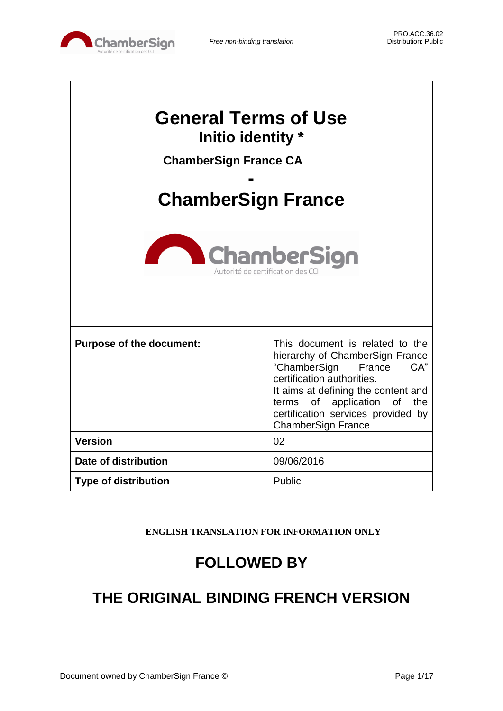

| <b>General Terms of Use</b><br>Initio identity *<br><b>ChamberSign France CA</b> |                                                                                                                                                                                                                                                                               |  |
|----------------------------------------------------------------------------------|-------------------------------------------------------------------------------------------------------------------------------------------------------------------------------------------------------------------------------------------------------------------------------|--|
|                                                                                  |                                                                                                                                                                                                                                                                               |  |
| <b>ChamberSign France</b>                                                        |                                                                                                                                                                                                                                                                               |  |
| <b>ChamberSign</b><br>Autorité de certification des                              |                                                                                                                                                                                                                                                                               |  |
| <b>Purpose of the document:</b>                                                  | This document is related to the<br>hierarchy of ChamberSign France<br>"ChamberSign<br>CA"<br>France<br>certification authorities.<br>It aims at defining the content and<br>terms of application of<br>the<br>certification services provided by<br><b>ChamberSign France</b> |  |
| <b>Version</b>                                                                   | 02                                                                                                                                                                                                                                                                            |  |
| Date of distribution                                                             | 09/06/2016                                                                                                                                                                                                                                                                    |  |
| <b>Type of distribution</b>                                                      | Public                                                                                                                                                                                                                                                                        |  |

**ENGLISH TRANSLATION FOR INFORMATION ONLY**

# **FOLLOWED BY**

# **THE ORIGINAL BINDING FRENCH VERSION**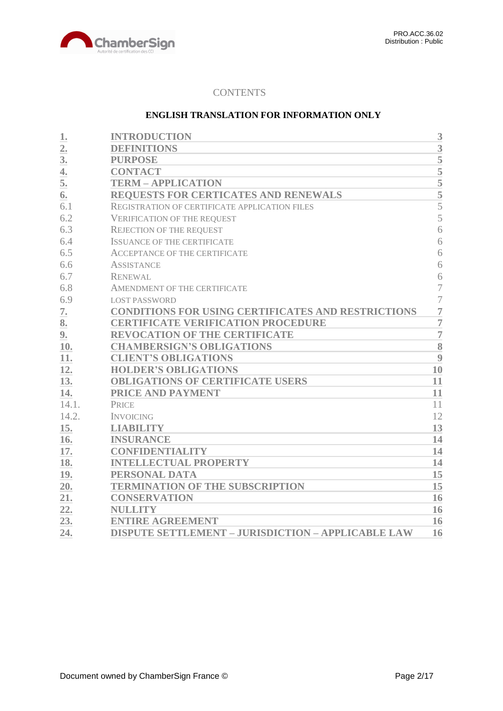

# **CONTENTS**

# **ENGLISH TRANSLATION FOR INFORMATION ONLY**

| 1.             | <b>INTRODUCTION</b>                                       | 3              |
|----------------|-----------------------------------------------------------|----------------|
| 2.             | <b>DEFINITIONS</b>                                        | 3              |
| 3 <sub>l</sub> | <b>PURPOSE</b>                                            | 5              |
| 4.             | <b>CONTACT</b>                                            | $\overline{5}$ |
| 5.             | <b>TERM - APPLICATION</b>                                 | 5              |
| 6.             | <b>REQUESTS FOR CERTICATES AND RENEWALS</b>               | $rac{1}{5}$    |
| 6.1            | REGISTRATION OF CERTIFICATE APPLICATION FILES             | 5              |
| 6.2            | <b>VERIFICATION OF THE REQUEST</b>                        | 5              |
| 6.3            | <b>REJECTION OF THE REQUEST</b>                           | 6              |
| 6.4            | <b>ISSUANCE OF THE CERTIFICATE</b>                        | 6              |
| 6.5            | <b>ACCEPTANCE OF THE CERTIFICATE</b>                      | 6              |
| 6.6            | <b>ASSISTANCE</b>                                         | 6              |
| 6.7            | <b>RENEWAL</b>                                            | 6              |
| 6.8            | AMENDMENT OF THE CERTIFICATE                              | $\overline{7}$ |
| 6.9            | <b>LOST PASSWORD</b>                                      | $\overline{7}$ |
| 7.             | <b>CONDITIONS FOR USING CERTIFICATES AND RESTRICTIONS</b> | $\overline{7}$ |
| 8.             | <b>CERTIFICATE VERIFICATION PROCEDURE</b>                 | $\overline{7}$ |
| 9.             | <b>REVOCATION OF THE CERTIFICATE</b>                      | $\overline{7}$ |
| 10.            | <b>CHAMBERSIGN'S OBLIGATIONS</b>                          | 8              |
| 11.            | <b>CLIENT'S OBLIGATIONS</b>                               | 9              |
| 12.            | <b>HOLDER'S OBLIGATIONS</b>                               | 10             |
| 13.            | <b>OBLIGATIONS OF CERTIFICATE USERS</b>                   | 11             |
| 14.            | PRICE AND PAYMENT                                         | 11             |
| 14.1.          | <b>PRICE</b>                                              | 11             |
| 14.2.          | <b>INVOICING</b>                                          | 12             |
| 15.            | <b>LIABILITY</b>                                          | 13             |
| 16.            | <b>INSURANCE</b>                                          | 14             |
| 17.            | <b>CONFIDENTIALITY</b>                                    | 14             |
| 18.            | <b>INTELLECTUAL PROPERTY</b>                              | 14             |
| 19.            | PERSONAL DATA                                             | 15             |
| 20.            | <b>TERMINATION OF THE SUBSCRIPTION</b>                    | 15             |
| 21.            | <b>CONSERVATION</b>                                       | 16             |
| 22.            | <b>NULLITY</b>                                            | 16             |
| 23.            | <b>ENTIRE AGREEMENT</b>                                   | 16             |
| 24.            | <b>DISPUTE SETTLEMENT - JURISDICTION - APPLICABLE LAW</b> | 16             |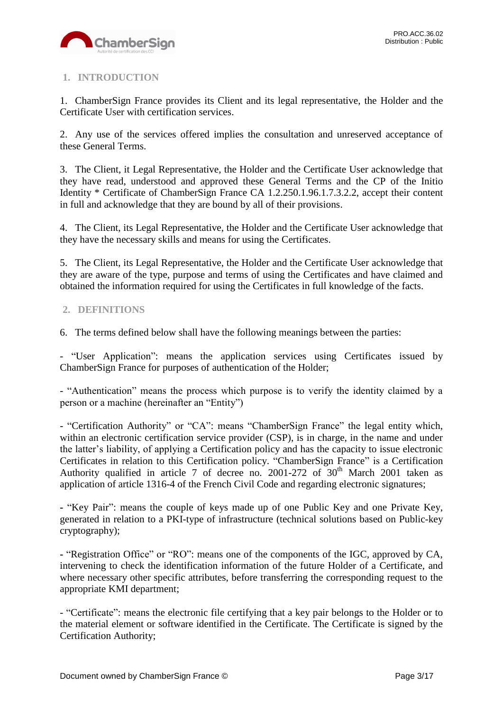

# <span id="page-2-0"></span>**1. INTRODUCTION**

1. ChamberSign France provides its Client and its legal representative, the Holder and the Certificate User with certification services.

2. Any use of the services offered implies the consultation and unreserved acceptance of these General Terms.

3. The Client, it Legal Representative, the Holder and the Certificate User acknowledge that they have read, understood and approved these General Terms and the CP of the Initio Identity \* Certificate of ChamberSign France CA 1.2.250.1.96.1.7.3.2.2, accept their content in full and acknowledge that they are bound by all of their provisions.

4. The Client, its Legal Representative, the Holder and the Certificate User acknowledge that they have the necessary skills and means for using the Certificates.

5. The Client, its Legal Representative, the Holder and the Certificate User acknowledge that they are aware of the type, purpose and terms of using the Certificates and have claimed and obtained the information required for using the Certificates in full knowledge of the facts.

# <span id="page-2-1"></span>**2. DEFINITIONS**

6. The terms defined below shall have the following meanings between the parties:

- "User Application": means the application services using Certificates issued by ChamberSign France for purposes of authentication of the Holder;

- "Authentication" means the process which purpose is to verify the identity claimed by a person or a machine (hereinafter an "Entity")

- "Certification Authority" or "CA": means "ChamberSign France" the legal entity which, within an electronic certification service provider (CSP), is in charge, in the name and under the latter's liability, of applying a Certification policy and has the capacity to issue electronic Certificates in relation to this Certification policy. "ChamberSign France" is a Certification Authority qualified in article 7 of decree no. 2001-272 of  $30<sup>th</sup>$  March 2001 taken as application of article 1316-4 of the French Civil Code and regarding electronic signatures;

**-** "Key Pair": means the couple of keys made up of one Public Key and one Private Key, generated in relation to a PKI-type of infrastructure (technical solutions based on Public-key cryptography);

**-** "Registration Office" or "RO": means one of the components of the IGC, approved by CA, intervening to check the identification information of the future Holder of a Certificate, and where necessary other specific attributes, before transferring the corresponding request to the appropriate KMI department;

- "Certificate": means the electronic file certifying that a key pair belongs to the Holder or to the material element or software identified in the Certificate. The Certificate is signed by the Certification Authority;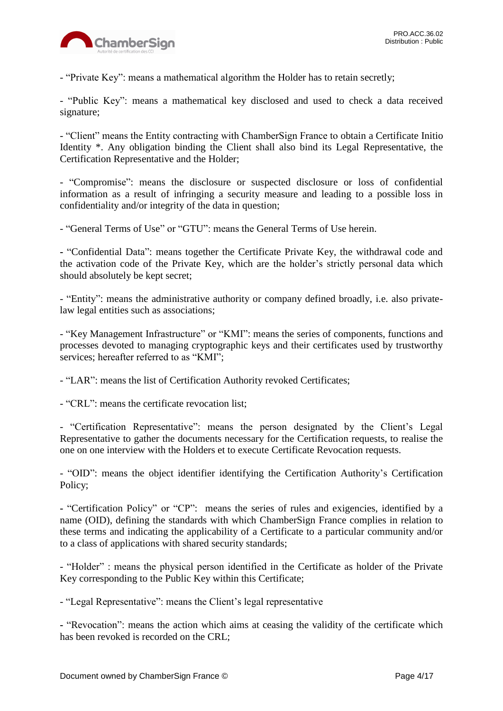

- "Private Key": means a mathematical algorithm the Holder has to retain secretly;

- "Public Key": means a mathematical key disclosed and used to check a data received signature;

- "Client" means the Entity contracting with ChamberSign France to obtain a Certificate Initio Identity \*. Any obligation binding the Client shall also bind its Legal Representative, the Certification Representative and the Holder;

- "Compromise": means the disclosure or suspected disclosure or loss of confidential information as a result of infringing a security measure and leading to a possible loss in confidentiality and/or integrity of the data in question;

- "General Terms of Use" or "GTU": means the General Terms of Use herein.

**-** "Confidential Data": means together the Certificate Private Key, the withdrawal code and the activation code of the Private Key, which are the holder's strictly personal data which should absolutely be kept secret;

- "Entity": means the administrative authority or company defined broadly, i.e. also privatelaw legal entities such as associations;

- "Key Management Infrastructure" or "KMI": means the series of components, functions and processes devoted to managing cryptographic keys and their certificates used by trustworthy services: hereafter referred to as "KMI":

- "LAR": means the list of Certification Authority revoked Certificates;

- "CRL": means the certificate revocation list;

- "Certification Representative": means the person designated by the Client's Legal Representative to gather the documents necessary for the Certification requests, to realise the one on one interview with the Holders et to execute Certificate Revocation requests.

- "OID": means the object identifier identifying the Certification Authority's Certification Policy;

**-** "Certification Policy" or "CP": means the series of rules and exigencies, identified by a name (OID), defining the standards with which ChamberSign France complies in relation to these terms and indicating the applicability of a Certificate to a particular community and/or to a class of applications with shared security standards;

- "Holder" : means the physical person identified in the Certificate as holder of the Private Key corresponding to the Public Key within this Certificate;

- "Legal Representative": means the Client's legal representative

**-** "Revocation": means the action which aims at ceasing the validity of the certificate which has been revoked is recorded on the CRL;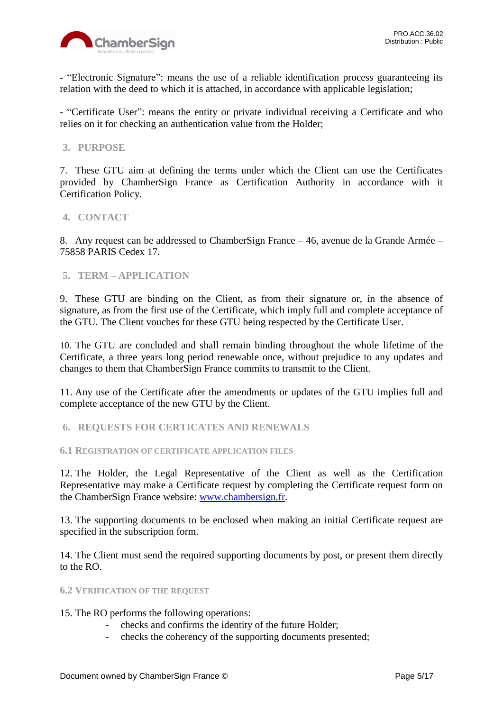

**-** "Electronic Signature": means the use of a reliable identification process guaranteeing its relation with the deed to which it is attached, in accordance with applicable legislation;

- "Certificate User": means the entity or private individual receiving a Certificate and who relies on it for checking an authentication value from the Holder;

# <span id="page-4-0"></span>**3. PURPOSE**

7. These GTU aim at defining the terms under which the Client can use the Certificates provided by ChamberSign France as Certification Authority in accordance with it Certification Policy.

# <span id="page-4-1"></span>**4. CONTACT**

8. Any request can be addressed to ChamberSign France – 46, avenue de la Grande Armée – 75858 PARIS Cedex 17.

# <span id="page-4-2"></span>**5. TERM – APPLICATION**

9. These GTU are binding on the Client, as from their signature or, in the absence of signature, as from the first use of the Certificate, which imply full and complete acceptance of the GTU. The Client vouches for these GTU being respected by the Certificate User.

10. The GTU are concluded and shall remain binding throughout the whole lifetime of the Certificate, a three years long period renewable once, without prejudice to any updates and changes to them that ChamberSign France commits to transmit to the Client.

11. Any use of the Certificate after the amendments or updates of the GTU implies full and complete acceptance of the new GTU by the Client.

<span id="page-4-3"></span>**6. REQUESTS FOR CERTICATES AND RENEWALS**

<span id="page-4-4"></span>**6.1 REGISTRATION OF CERTIFICATE APPLICATION FILES**

12. The Holder, the Legal Representative of the Client as well as the Certification Representative may make a Certificate request by completing the Certificate request form on the ChamberSign France website: [www.chambersign.fr.](http://www.chambersign.fr/)

13. The supporting documents to be enclosed when making an initial Certificate request are specified in the subscription form.

14. The Client must send the required supporting documents by post, or present them directly to the RO.

#### <span id="page-4-5"></span>**6.2 VERIFICATION OF THE REQUEST**

15. The RO performs the following operations:

- checks and confirms the identity of the future Holder;
- checks the coherency of the supporting documents presented;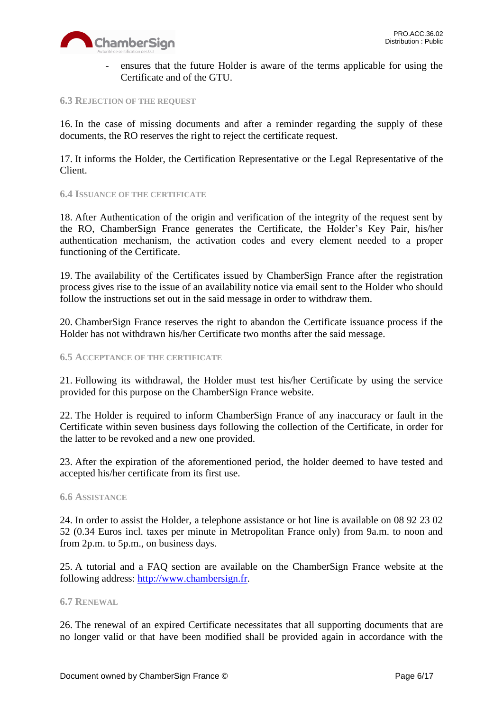

ensures that the future Holder is aware of the terms applicable for using the Certificate and of the GTU.

#### <span id="page-5-0"></span>**6.3 REJECTION OF THE REQUEST**

16. In the case of missing documents and after a reminder regarding the supply of these documents, the RO reserves the right to reject the certificate request.

17. It informs the Holder, the Certification Representative or the Legal Representative of the Client.

#### <span id="page-5-1"></span>**6.4 ISSUANCE OF THE CERTIFICATE**

18. After Authentication of the origin and verification of the integrity of the request sent by the RO, ChamberSign France generates the Certificate, the Holder's Key Pair, his/her authentication mechanism, the activation codes and every element needed to a proper functioning of the Certificate.

19. The availability of the Certificates issued by ChamberSign France after the registration process gives rise to the issue of an availability notice via email sent to the Holder who should follow the instructions set out in the said message in order to withdraw them.

20. ChamberSign France reserves the right to abandon the Certificate issuance process if the Holder has not withdrawn his/her Certificate two months after the said message.

#### <span id="page-5-2"></span>**6.5 ACCEPTANCE OF THE CERTIFICATE**

21. Following its withdrawal, the Holder must test his/her Certificate by using the service provided for this purpose on the ChamberSign France website.

22. The Holder is required to inform ChamberSign France of any inaccuracy or fault in the Certificate within seven business days following the collection of the Certificate, in order for the latter to be revoked and a new one provided.

23. After the expiration of the aforementioned period, the holder deemed to have tested and accepted his/her certificate from its first use.

#### <span id="page-5-3"></span>**6.6 ASSISTANCE**

24. In order to assist the Holder, a telephone assistance or hot line is available on 08 92 23 02 52 (0.34 Euros incl. taxes per minute in Metropolitan France only) from 9a.m. to noon and from 2p.m. to 5p.m., on business days.

25. A tutorial and a FAQ section are available on the ChamberSign France website at the following address: [http://www.chambersign.fr.](http://www.chambersign.fr/)

#### <span id="page-5-4"></span>**6.7 RENEWAL**

26. The renewal of an expired Certificate necessitates that all supporting documents that are no longer valid or that have been modified shall be provided again in accordance with the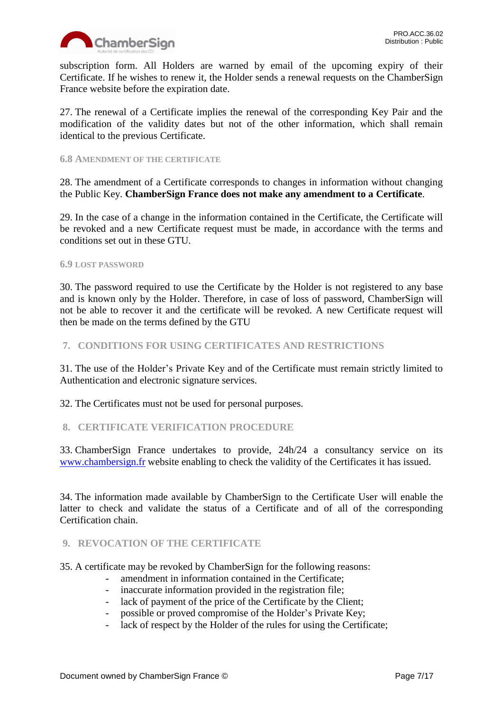

subscription form. All Holders are warned by email of the upcoming expiry of their Certificate. If he wishes to renew it, the Holder sends a renewal requests on the ChamberSign France website before the expiration date.

27. The renewal of a Certificate implies the renewal of the corresponding Key Pair and the modification of the validity dates but not of the other information, which shall remain identical to the previous Certificate.

### <span id="page-6-0"></span>**6.8 AMENDMENT OF THE CERTIFICATE**

28. The amendment of a Certificate corresponds to changes in information without changing the Public Key. **ChamberSign France does not make any amendment to a Certificate**.

29. In the case of a change in the information contained in the Certificate, the Certificate will be revoked and a new Certificate request must be made, in accordance with the terms and conditions set out in these GTU.

# <span id="page-6-1"></span>**6.9 LOST PASSWORD**

30. The password required to use the Certificate by the Holder is not registered to any base and is known only by the Holder. Therefore, in case of loss of password, ChamberSign will not be able to recover it and the certificate will be revoked. A new Certificate request will then be made on the terms defined by the GTU

# <span id="page-6-2"></span>**7. CONDITIONS FOR USING CERTIFICATES AND RESTRICTIONS**

31. The use of the Holder's Private Key and of the Certificate must remain strictly limited to Authentication and electronic signature services.

32. The Certificates must not be used for personal purposes.

# <span id="page-6-3"></span>**8. CERTIFICATE VERIFICATION PROCEDURE**

33. ChamberSign France undertakes to provide, 24h/24 a consultancy service on its [www.chambersign.fr](http://www.chambersign.fr/) website enabling to check the validity of the Certificates it has issued.

34. The information made available by ChamberSign to the Certificate User will enable the latter to check and validate the status of a Certificate and of all of the corresponding Certification chain.

# <span id="page-6-4"></span>**9. REVOCATION OF THE CERTIFICATE**

35. A certificate may be revoked by ChamberSign for the following reasons:

- amendment in information contained in the Certificate;
- inaccurate information provided in the registration file;
- lack of payment of the price of the Certificate by the Client;
- possible or proved compromise of the Holder's Private Key;
- lack of respect by the Holder of the rules for using the Certificate;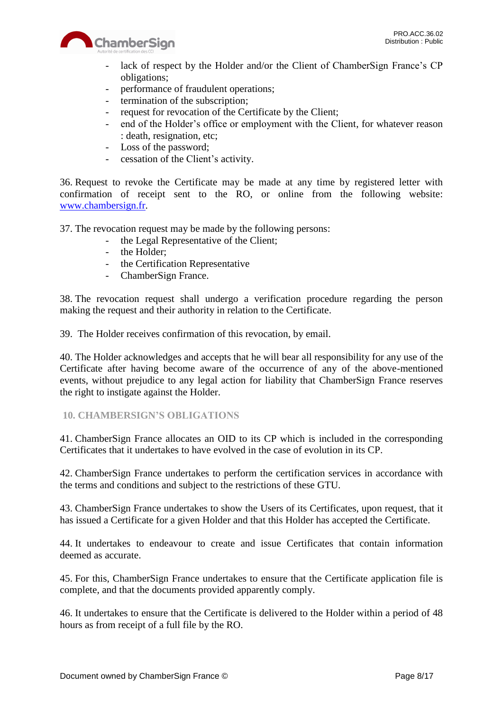

- lack of respect by the Holder and/or the Client of ChamberSign France's CP obligations;
- performance of fraudulent operations;
- termination of the subscription;
- request for revocation of the Certificate by the Client;
- end of the Holder's office or employment with the Client, for whatever reason : death, resignation, etc;
- Loss of the password;
- cessation of the Client's activity.

36. Request to revoke the Certificate may be made at any time by registered letter with confirmation of receipt sent to the RO, or online from the following website: [www.chambersign.fr.](http://www.chambersign.fr/)

37. The revocation request may be made by the following persons:

- the Legal Representative of the Client;
- the Holder;
- the Certification Representative
- ChamberSign France.

38. The revocation request shall undergo a verification procedure regarding the person making the request and their authority in relation to the Certificate.

39. The Holder receives confirmation of this revocation, by email.

40. The Holder acknowledges and accepts that he will bear all responsibility for any use of the Certificate after having become aware of the occurrence of any of the above-mentioned events, without prejudice to any legal action for liability that ChamberSign France reserves the right to instigate against the Holder.

# <span id="page-7-0"></span>**10. CHAMBERSIGN'S OBLIGATIONS**

41. ChamberSign France allocates an OID to its CP which is included in the corresponding Certificates that it undertakes to have evolved in the case of evolution in its CP.

42. ChamberSign France undertakes to perform the certification services in accordance with the terms and conditions and subject to the restrictions of these GTU.

43. ChamberSign France undertakes to show the Users of its Certificates, upon request, that it has issued a Certificate for a given Holder and that this Holder has accepted the Certificate.

44. It undertakes to endeavour to create and issue Certificates that contain information deemed as accurate.

45. For this, ChamberSign France undertakes to ensure that the Certificate application file is complete, and that the documents provided apparently comply.

46. It undertakes to ensure that the Certificate is delivered to the Holder within a period of 48 hours as from receipt of a full file by the RO.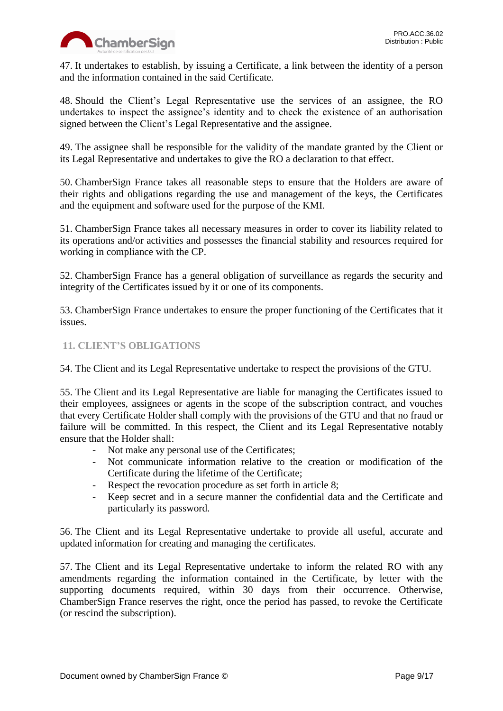

47. It undertakes to establish, by issuing a Certificate, a link between the identity of a person and the information contained in the said Certificate.

48. Should the Client's Legal Representative use the services of an assignee, the RO undertakes to inspect the assignee's identity and to check the existence of an authorisation signed between the Client's Legal Representative and the assignee.

49. The assignee shall be responsible for the validity of the mandate granted by the Client or its Legal Representative and undertakes to give the RO a declaration to that effect.

50. ChamberSign France takes all reasonable steps to ensure that the Holders are aware of their rights and obligations regarding the use and management of the keys, the Certificates and the equipment and software used for the purpose of the KMI.

51. ChamberSign France takes all necessary measures in order to cover its liability related to its operations and/or activities and possesses the financial stability and resources required for working in compliance with the CP.

52. ChamberSign France has a general obligation of surveillance as regards the security and integrity of the Certificates issued by it or one of its components.

53. ChamberSign France undertakes to ensure the proper functioning of the Certificates that it issues.

# <span id="page-8-0"></span>**11. CLIENT'S OBLIGATIONS**

54. The Client and its Legal Representative undertake to respect the provisions of the GTU.

55. The Client and its Legal Representative are liable for managing the Certificates issued to their employees, assignees or agents in the scope of the subscription contract, and vouches that every Certificate Holder shall comply with the provisions of the GTU and that no fraud or failure will be committed. In this respect, the Client and its Legal Representative notably ensure that the Holder shall:

- Not make any personal use of the Certificates;
- Not communicate information relative to the creation or modification of the Certificate during the lifetime of the Certificate;
- Respect the revocation procedure as set forth in article 8;
- Keep secret and in a secure manner the confidential data and the Certificate and particularly its password.

56. The Client and its Legal Representative undertake to provide all useful, accurate and updated information for creating and managing the certificates.

57. The Client and its Legal Representative undertake to inform the related RO with any amendments regarding the information contained in the Certificate, by letter with the supporting documents required, within 30 days from their occurrence. Otherwise, ChamberSign France reserves the right, once the period has passed, to revoke the Certificate (or rescind the subscription).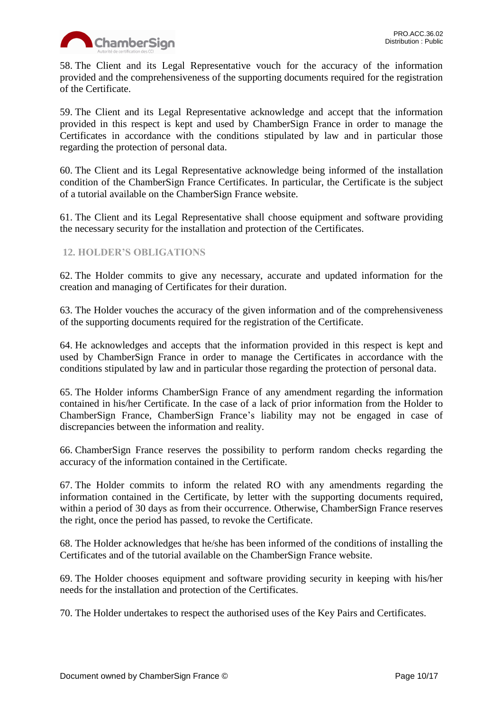

58. The Client and its Legal Representative vouch for the accuracy of the information provided and the comprehensiveness of the supporting documents required for the registration of the Certificate.

59. The Client and its Legal Representative acknowledge and accept that the information provided in this respect is kept and used by ChamberSign France in order to manage the Certificates in accordance with the conditions stipulated by law and in particular those regarding the protection of personal data.

60. The Client and its Legal Representative acknowledge being informed of the installation condition of the ChamberSign France Certificates. In particular, the Certificate is the subject of a tutorial available on the ChamberSign France website.

61. The Client and its Legal Representative shall choose equipment and software providing the necessary security for the installation and protection of the Certificates.

# <span id="page-9-0"></span>**12. HOLDER'S OBLIGATIONS**

62. The Holder commits to give any necessary, accurate and updated information for the creation and managing of Certificates for their duration.

63. The Holder vouches the accuracy of the given information and of the comprehensiveness of the supporting documents required for the registration of the Certificate.

64. He acknowledges and accepts that the information provided in this respect is kept and used by ChamberSign France in order to manage the Certificates in accordance with the conditions stipulated by law and in particular those regarding the protection of personal data.

65. The Holder informs ChamberSign France of any amendment regarding the information contained in his/her Certificate. In the case of a lack of prior information from the Holder to ChamberSign France, ChamberSign France's liability may not be engaged in case of discrepancies between the information and reality.

66. ChamberSign France reserves the possibility to perform random checks regarding the accuracy of the information contained in the Certificate.

67. The Holder commits to inform the related RO with any amendments regarding the information contained in the Certificate, by letter with the supporting documents required, within a period of 30 days as from their occurrence. Otherwise, ChamberSign France reserves the right, once the period has passed, to revoke the Certificate.

68. The Holder acknowledges that he/she has been informed of the conditions of installing the Certificates and of the tutorial available on the ChamberSign France website.

69. The Holder chooses equipment and software providing security in keeping with his/her needs for the installation and protection of the Certificates.

70. The Holder undertakes to respect the authorised uses of the Key Pairs and Certificates.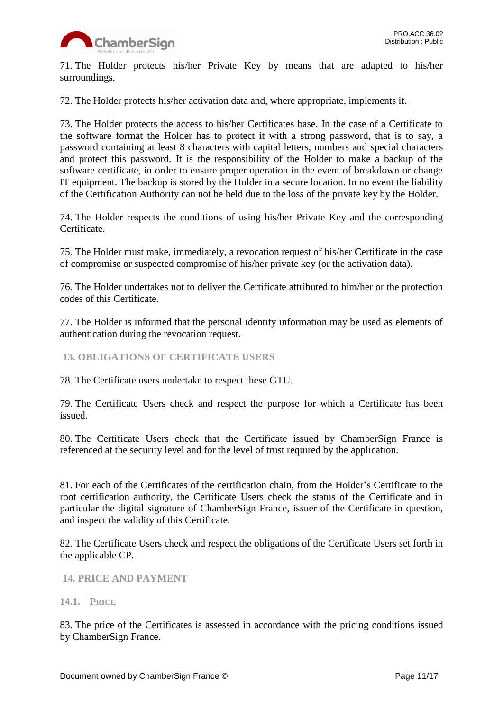

71. The Holder protects his/her Private Key by means that are adapted to his/her surroundings.

72. The Holder protects his/her activation data and, where appropriate, implements it.

73. The Holder protects the access to his/her Certificates base. In the case of a Certificate to the software format the Holder has to protect it with a strong password, that is to say, a password containing at least 8 characters with capital letters, numbers and special characters and protect this password. It is the responsibility of the Holder to make a backup of the software certificate, in order to ensure proper operation in the event of breakdown or change IT equipment. The backup is stored by the Holder in a secure location. In no event the liability of the Certification Authority can not be held due to the loss of the private key by the Holder.

74. The Holder respects the conditions of using his/her Private Key and the corresponding Certificate.

75. The Holder must make, immediately, a revocation request of his/her Certificate in the case of compromise or suspected compromise of his/her private key (or the activation data).

76. The Holder undertakes not to deliver the Certificate attributed to him/her or the protection codes of this Certificate.

77. The Holder is informed that the personal identity information may be used as elements of authentication during the revocation request.

<span id="page-10-0"></span>**13. OBLIGATIONS OF CERTIFICATE USERS**

78. The Certificate users undertake to respect these GTU.

79. The Certificate Users check and respect the purpose for which a Certificate has been issued.

80. The Certificate Users check that the Certificate issued by ChamberSign France is referenced at the security level and for the level of trust required by the application.

81. For each of the Certificates of the certification chain, from the Holder's Certificate to the root certification authority, the Certificate Users check the status of the Certificate and in particular the digital signature of ChamberSign France, issuer of the Certificate in question, and inspect the validity of this Certificate.

82. The Certificate Users check and respect the obligations of the Certificate Users set forth in the applicable CP.

<span id="page-10-1"></span>**14. PRICE AND PAYMENT**

#### <span id="page-10-2"></span>**14.1. PRICE**

83. The price of the Certificates is assessed in accordance with the pricing conditions issued by ChamberSign France.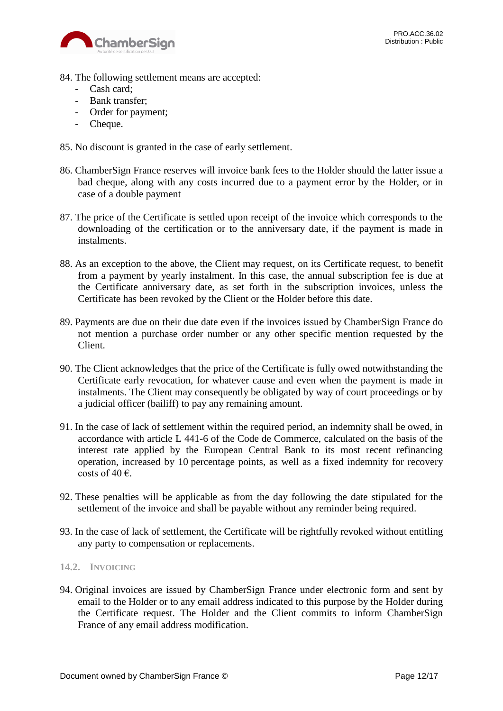

- 84. The following settlement means are accepted:
	- Cash card;
	- Bank transfer;
	- Order for payment;
	- Cheque.
- 85. No discount is granted in the case of early settlement.
- 86. ChamberSign France reserves will invoice bank fees to the Holder should the latter issue a bad cheque, along with any costs incurred due to a payment error by the Holder, or in case of a double payment
- 87. The price of the Certificate is settled upon receipt of the invoice which corresponds to the downloading of the certification or to the anniversary date, if the payment is made in instalments.
- 88. As an exception to the above, the Client may request, on its Certificate request, to benefit from a payment by yearly instalment. In this case, the annual subscription fee is due at the Certificate anniversary date, as set forth in the subscription invoices, unless the Certificate has been revoked by the Client or the Holder before this date.
- 89. Payments are due on their due date even if the invoices issued by ChamberSign France do not mention a purchase order number or any other specific mention requested by the Client.
- 90. The Client acknowledges that the price of the Certificate is fully owed notwithstanding the Certificate early revocation, for whatever cause and even when the payment is made in instalments. The Client may consequently be obligated by way of court proceedings or by a judicial officer (bailiff) to pay any remaining amount.
- 91. In the case of lack of settlement within the required period, an indemnity shall be owed, in accordance with article L 441-6 of the Code de Commerce, calculated on the basis of the interest rate applied by the European Central Bank to its most recent refinancing operation, increased by 10 percentage points, as well as a fixed indemnity for recovery costs of 40  $\epsilon$ .
- 92. These penalties will be applicable as from the day following the date stipulated for the settlement of the invoice and shall be payable without any reminder being required.
- 93. In the case of lack of settlement, the Certificate will be rightfully revoked without entitling any party to compensation or replacements.

#### <span id="page-11-0"></span>**14.2. INVOICING**

94. Original invoices are issued by ChamberSign France under electronic form and sent by email to the Holder or to any email address indicated to this purpose by the Holder during the Certificate request. The Holder and the Client commits to inform ChamberSign France of any email address modification.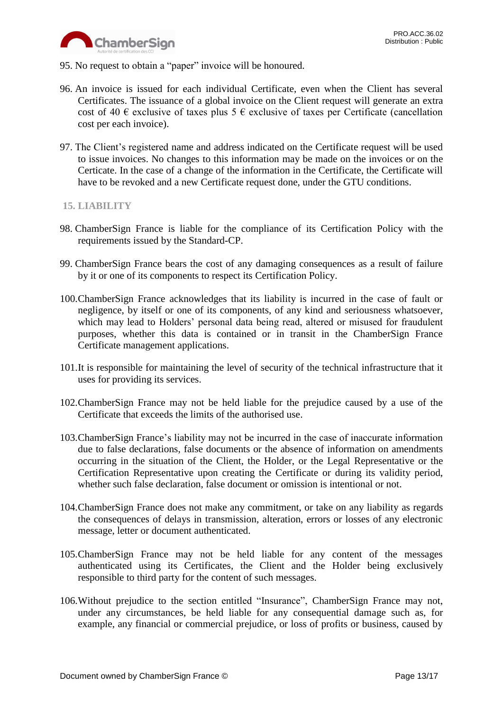

- 95. No request to obtain a "paper" invoice will be honoured.
- 96. An invoice is issued for each individual Certificate, even when the Client has several Certificates. The issuance of a global invoice on the Client request will generate an extra cost of 40  $\epsilon$  exclusive of taxes plus 5  $\epsilon$  exclusive of taxes per Certificate (cancellation cost per each invoice).
- 97. The Client's registered name and address indicated on the Certificate request will be used to issue invoices. No changes to this information may be made on the invoices or on the Certicate. In the case of a change of the information in the Certificate, the Certificate will have to be revoked and a new Certificate request done, under the GTU conditions.

# <span id="page-12-0"></span>**15. LIABILITY**

- 98. ChamberSign France is liable for the compliance of its Certification Policy with the requirements issued by the Standard-CP.
- 99. ChamberSign France bears the cost of any damaging consequences as a result of failure by it or one of its components to respect its Certification Policy.
- 100.ChamberSign France acknowledges that its liability is incurred in the case of fault or negligence, by itself or one of its components, of any kind and seriousness whatsoever, which may lead to Holders' personal data being read, altered or misused for fraudulent purposes, whether this data is contained or in transit in the ChamberSign France Certificate management applications.
- 101.It is responsible for maintaining the level of security of the technical infrastructure that it uses for providing its services.
- 102.ChamberSign France may not be held liable for the prejudice caused by a use of the Certificate that exceeds the limits of the authorised use.
- 103.ChamberSign France's liability may not be incurred in the case of inaccurate information due to false declarations, false documents or the absence of information on amendments occurring in the situation of the Client, the Holder, or the Legal Representative or the Certification Representative upon creating the Certificate or during its validity period, whether such false declaration, false document or omission is intentional or not.
- 104.ChamberSign France does not make any commitment, or take on any liability as regards the consequences of delays in transmission, alteration, errors or losses of any electronic message, letter or document authenticated.
- 105.ChamberSign France may not be held liable for any content of the messages authenticated using its Certificates, the Client and the Holder being exclusively responsible to third party for the content of such messages.
- 106.Without prejudice to the section entitled "Insurance", ChamberSign France may not, under any circumstances, be held liable for any consequential damage such as, for example, any financial or commercial prejudice, or loss of profits or business, caused by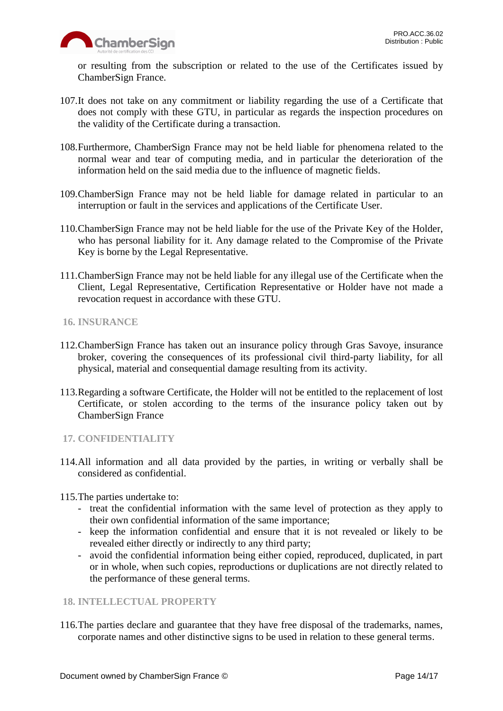

or resulting from the subscription or related to the use of the Certificates issued by ChamberSign France.

- 107.It does not take on any commitment or liability regarding the use of a Certificate that does not comply with these GTU, in particular as regards the inspection procedures on the validity of the Certificate during a transaction.
- 108.Furthermore, ChamberSign France may not be held liable for phenomena related to the normal wear and tear of computing media, and in particular the deterioration of the information held on the said media due to the influence of magnetic fields.
- 109.ChamberSign France may not be held liable for damage related in particular to an interruption or fault in the services and applications of the Certificate User.
- 110.ChamberSign France may not be held liable for the use of the Private Key of the Holder, who has personal liability for it. Any damage related to the Compromise of the Private Key is borne by the Legal Representative.
- 111.ChamberSign France may not be held liable for any illegal use of the Certificate when the Client, Legal Representative, Certification Representative or Holder have not made a revocation request in accordance with these GTU.
- <span id="page-13-0"></span>**16. INSURANCE**
- 112.ChamberSign France has taken out an insurance policy through Gras Savoye, insurance broker, covering the consequences of its professional civil third-party liability, for all physical, material and consequential damage resulting from its activity.
- 113.Regarding a software Certificate, the Holder will not be entitled to the replacement of lost Certificate, or stolen according to the terms of the insurance policy taken out by ChamberSign France

# <span id="page-13-1"></span>**17. CONFIDENTIALITY**

114.All information and all data provided by the parties, in writing or verbally shall be considered as confidential.

115.The parties undertake to:

- treat the confidential information with the same level of protection as they apply to their own confidential information of the same importance;
- keep the information confidential and ensure that it is not revealed or likely to be revealed either directly or indirectly to any third party;
- avoid the confidential information being either copied, reproduced, duplicated, in part or in whole, when such copies, reproductions or duplications are not directly related to the performance of these general terms.

# <span id="page-13-2"></span>**18. INTELLECTUAL PROPERTY**

116.The parties declare and guarantee that they have free disposal of the trademarks, names, corporate names and other distinctive signs to be used in relation to these general terms.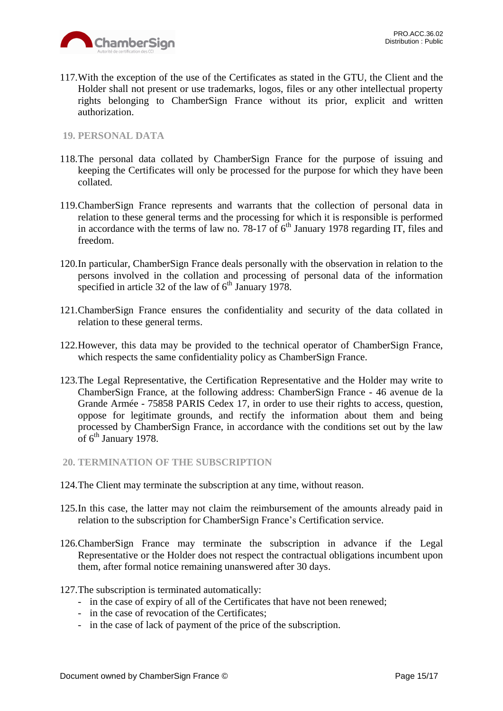

117.With the exception of the use of the Certificates as stated in the GTU, the Client and the Holder shall not present or use trademarks, logos, files or any other intellectual property rights belonging to ChamberSign France without its prior, explicit and written authorization.

# <span id="page-14-0"></span>**19. PERSONAL DATA**

- 118.The personal data collated by ChamberSign France for the purpose of issuing and keeping the Certificates will only be processed for the purpose for which they have been collated.
- 119.ChamberSign France represents and warrants that the collection of personal data in relation to these general terms and the processing for which it is responsible is performed in accordance with the terms of law no. 78-17 of  $6<sup>th</sup>$  January 1978 regarding IT, files and freedom.
- 120.In particular, ChamberSign France deals personally with the observation in relation to the persons involved in the collation and processing of personal data of the information specified in article 32 of the law of  $6<sup>th</sup>$  January 1978.
- 121.ChamberSign France ensures the confidentiality and security of the data collated in relation to these general terms.
- 122.However, this data may be provided to the technical operator of ChamberSign France, which respects the same confidentiality policy as ChamberSign France.
- 123.The Legal Representative, the Certification Representative and the Holder may write to ChamberSign France, at the following address: ChamberSign France - 46 avenue de la Grande Armée - 75858 PARIS Cedex 17, in order to use their rights to access, question, oppose for legitimate grounds, and rectify the information about them and being processed by ChamberSign France, in accordance with the conditions set out by the law of 6<sup>th</sup> January 1978.
- <span id="page-14-1"></span>**20. TERMINATION OF THE SUBSCRIPTION**
- 124.The Client may terminate the subscription at any time, without reason.
- 125.In this case, the latter may not claim the reimbursement of the amounts already paid in relation to the subscription for ChamberSign France's Certification service.
- 126.ChamberSign France may terminate the subscription in advance if the Legal Representative or the Holder does not respect the contractual obligations incumbent upon them, after formal notice remaining unanswered after 30 days.
- 127.The subscription is terminated automatically:
	- in the case of expiry of all of the Certificates that have not been renewed;
	- in the case of revocation of the Certificates;
	- in the case of lack of payment of the price of the subscription.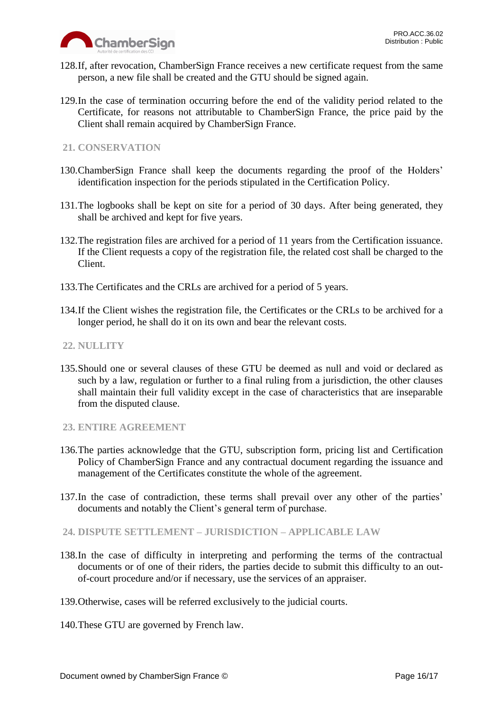

- 128.If, after revocation, ChamberSign France receives a new certificate request from the same person, a new file shall be created and the GTU should be signed again.
- 129.In the case of termination occurring before the end of the validity period related to the Certificate, for reasons not attributable to ChamberSign France, the price paid by the Client shall remain acquired by ChamberSign France.

# <span id="page-15-0"></span>**21. CONSERVATION**

- 130.ChamberSign France shall keep the documents regarding the proof of the Holders' identification inspection for the periods stipulated in the Certification Policy.
- 131.The logbooks shall be kept on site for a period of 30 days. After being generated, they shall be archived and kept for five years.
- 132.The registration files are archived for a period of 11 years from the Certification issuance. If the Client requests a copy of the registration file, the related cost shall be charged to the Client.
- 133.The Certificates and the CRLs are archived for a period of 5 years.
- 134.If the Client wishes the registration file, the Certificates or the CRLs to be archived for a longer period, he shall do it on its own and bear the relevant costs.

# <span id="page-15-1"></span>**22. NULLITY**

135.Should one or several clauses of these GTU be deemed as null and void or declared as such by a law, regulation or further to a final ruling from a jurisdiction, the other clauses shall maintain their full validity except in the case of characteristics that are inseparable from the disputed clause.

# <span id="page-15-2"></span>**23. ENTIRE AGREEMENT**

- 136.The parties acknowledge that the GTU, subscription form, pricing list and Certification Policy of ChamberSign France and any contractual document regarding the issuance and management of the Certificates constitute the whole of the agreement.
- 137.In the case of contradiction, these terms shall prevail over any other of the parties' documents and notably the Client's general term of purchase.
- <span id="page-15-3"></span>**24. DISPUTE SETTLEMENT – JURISDICTION – APPLICABLE LAW**
- 138.In the case of difficulty in interpreting and performing the terms of the contractual documents or of one of their riders, the parties decide to submit this difficulty to an outof-court procedure and/or if necessary, use the services of an appraiser.
- 139.Otherwise, cases will be referred exclusively to the judicial courts.
- 140.These GTU are governed by French law.